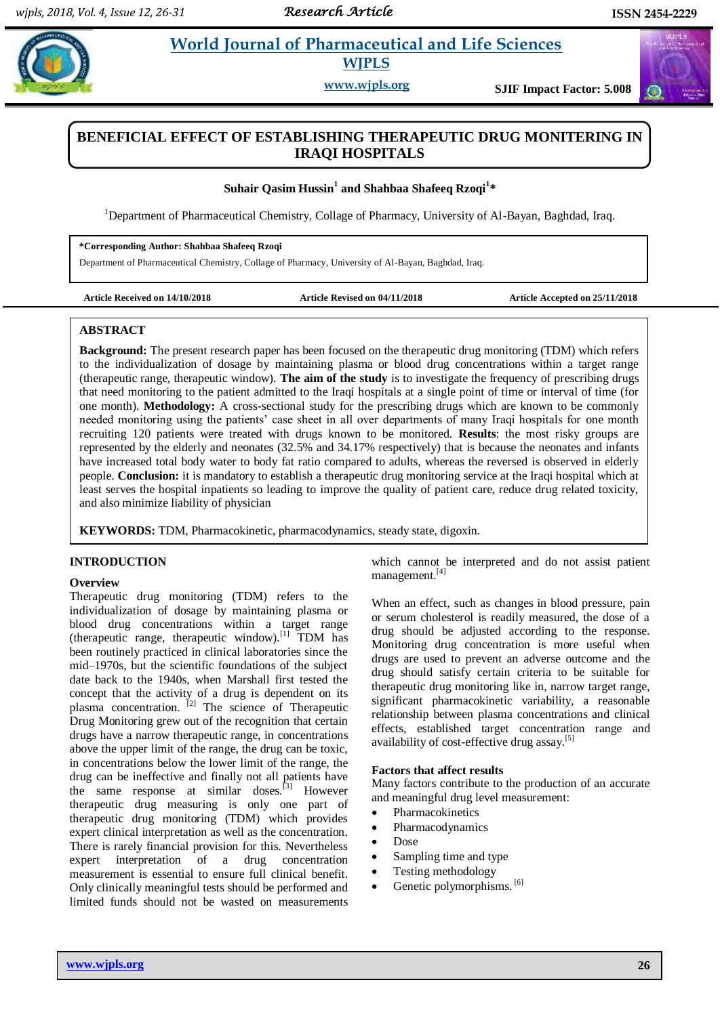# **Rzophia** *et al. al. al. al. al. al. 21 Evonda Journal of Pharmaceutical and Life Sciences* **WJPLS**

**www.wjpls.org SJIF Impact Factor: 5.008**

# **BENEFICIAL EFFECT OF ESTABLISHING THERAPEUTIC DRUG MONITERING IN IRAQI HOSPITALS**

# **Suhair Qasim Hussin<sup>1</sup> and Shahbaa Shafeeq Rzoqi<sup>1</sup> \***

<sup>1</sup>Department of Pharmaceutical Chemistry, Collage of Pharmacy, University of Al-Bayan, Baghdad, Iraq.

#### **\*Corresponding Author: Shahbaa Shafeeq Rzoqi**

Department of Pharmaceutical Chemistry, Collage of Pharmacy, University of Al-Bayan, Baghdad, Iraq.

**Article Received on 14/10/2018 Article Revised on 04/11/2018 Article Accepted on 25/11/2018**

### **ABSTRACT**

**Background:** The present research paper has been focused on the therapeutic drug monitoring (TDM) which refers to the individualization of dosage by maintaining plasma or blood drug concentrations within a target range (therapeutic range, therapeutic window). **The aim of the study** is to investigate the frequency of prescribing drugs that need monitoring to the patient admitted to the Iraqi hospitals at a single point of time or interval of time (for one month). **Methodology:** A cross-sectional study for the prescribing drugs which are known to be commonly needed monitoring using the patients' case sheet in all over departments of many Iraqi hospitals for one month recruiting 120 patients were treated with drugs known to be monitored. **Results**: the most risky groups are represented by the elderly and neonates (32.5% and 34.17% respectively) that is because the neonates and infants have increased total body water to body fat ratio compared to adults, whereas the reversed is observed in elderly people. **Conclusion:** it is mandatory to establish a therapeutic drug monitoring service at the Iraqi hospital which at least serves the hospital inpatients so leading to improve the quality of patient care, reduce drug related toxicity, and also minimize liability of physician

**KEYWORDS:** TDM, Pharmacokinetic, pharmacodynamics, steady state, digoxin.

### **INTRODUCTION**

#### **Overview**

Therapeutic drug monitoring (TDM) refers to the individualization of dosage by maintaining plasma or blood drug concentrations within a target range (therapeutic range, therapeutic window).[1] TDM has been routinely practiced in clinical laboratories since the mid–1970s, but the scientific foundations of the subject date back to the 1940s, when Marshall first tested the concept that the activity of a drug is dependent on its plasma concentration. <sup>[2]</sup> The science of Therapeutic Drug Monitoring grew out of the recognition that certain drugs have a narrow therapeutic range, in concentrations above the upper limit of the range, the drug can be toxic, in concentrations below the lower limit of the range, the drug can be ineffective and finally not all patients have the same response at similar doses.<sup>[3]</sup> However therapeutic drug measuring is only one part of therapeutic drug monitoring (TDM) which provides expert clinical interpretation as well as the concentration. There is rarely financial provision for this. Nevertheless expert interpretation of a drug concentration measurement is essential to ensure full clinical benefit. Only clinically meaningful tests should be performed and limited funds should not be wasted on measurements

which cannot be interpreted and do not assist patient management.[4]

When an effect, such as changes in blood pressure, pain or serum cholesterol is readily measured, the dose of a drug should be adjusted according to the response. Monitoring drug concentration is more useful when drugs are used to prevent an adverse outcome and the drug should satisfy certain criteria to be suitable for therapeutic drug monitoring like in, narrow target range, significant pharmacokinetic variability, a reasonable relationship between plasma concentrations and clinical effects, established target concentration range and availability of cost-effective drug assay.<sup>[5]</sup>

#### **Factors that affect results**

Many factors contribute to the production of an accurate and meaningful drug level measurement:

- Pharmacokinetics
- Pharmacodynamics
- Dose
- Sampling time and type
- Testing methodology
- Genetic polymorphisms.<sup>[6]</sup>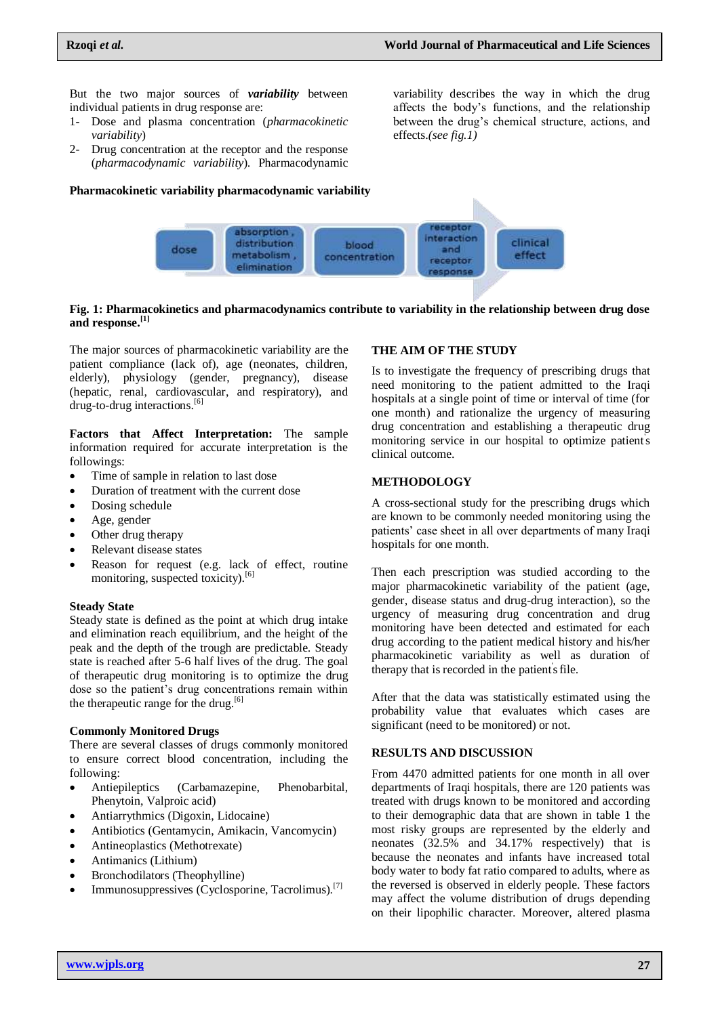But the two major sources of *variability* between individual patients in drug response are:

- 1- Dose and plasma concentration (*pharmacokinetic variability*)
- 2- Drug concentration at the receptor and the response (*pharmacodynamic variability*). Pharmacodynamic

#### **Pharmacokinetic variability pharmacodynamic variability**

variability describes the way in which the drug affects the body's functions, and the relationship between the drug's chemical structure, actions, and effects.*(see fig.1)*



#### **Fig. 1: Pharmacokinetics and pharmacodynamics contribute to variability in the relationship between drug dose and response. [1]**

The major sources of pharmacokinetic variability are the patient compliance (lack of), age (neonates, children, elderly), physiology (gender, pregnancy), disease (hepatic, renal, cardiovascular, and respiratory), and drug-to-drug interactions. [6]

**Factors that Affect Interpretation:** The sample information required for accurate interpretation is the followings:

- Time of sample in relation to last dose
- Duration of treatment with the current dose
- Dosing schedule
- Age, gender
- Other drug therapy
- Relevant disease states
- Reason for request (e.g. lack of effect, routine monitoring, suspected toxicity).<sup>[6]</sup>

#### **Steady State**

Steady state is defined as the point at which drug intake and elimination reach equilibrium, and the height of the peak and the depth of the trough are predictable. Steady state is reached after 5-6 half lives of the drug. The goal of therapeutic drug monitoring is to optimize the drug dose so the patient's drug concentrations remain within the therapeutic range for the drug.<sup>[6]</sup>

#### **Commonly Monitored Drugs**

There are several classes of drugs commonly monitored to ensure correct blood concentration, including the following:

- Antiepileptics (Carbamazepine, Phenobarbital, Phenytoin, Valproic acid)
- Antiarrythmics (Digoxin, Lidocaine)
- Antibiotics (Gentamycin, Amikacin, Vancomycin)
- Antineoplastics (Methotrexate)
- Antimanics (Lithium)
- Bronchodilators (Theophylline)
- Immunosuppressives (Cyclosporine, Tacrolimus).<sup>[7]</sup>

#### **THE AIM OF THE STUDY**

Is to investigate the frequency of prescribing drugs that need monitoring to the patient admitted to the Iraqi hospitals at a single point of time or interval of time (for one month) and rationalize the urgency of measuring drug concentration and establishing a therapeutic drug monitoring service in our hospital to optimize patient' s clinical outcome.

#### **METHODOLOGY**

A cross-sectional study for the prescribing drugs which are known to be commonly needed monitoring using the patients' case sheet in all over departments of many Iraqi hospitals for one month.

Then each prescription was studied according to the major pharmacokinetic variability of the patient (age, gender, disease status and drug-drug interaction), so the urgency of measuring drug concentration and drug monitoring have been detected and estimated for each drug according to the patient medical history and his/her pharmacokinetic variability as well as duration of therapy that is recorded in the patient's file.

After that the data was statistically estimated using the probability value that evaluates which cases are significant (need to be monitored) or not.

## **RESULTS AND DISCUSSION**

From 4470 admitted patients for one month in all over departments of Iraqi hospitals, there are 120 patients was treated with drugs known to be monitored and according to their demographic data that are shown in table 1 the most risky groups are represented by the elderly and neonates (32.5% and 34.17% respectively) that is because the neonates and infants have increased total body water to body fat ratio compared to adults, where as the reversed is observed in elderly people. These factors may affect the volume distribution of drugs depending on their lipophilic character. Moreover, altered plasma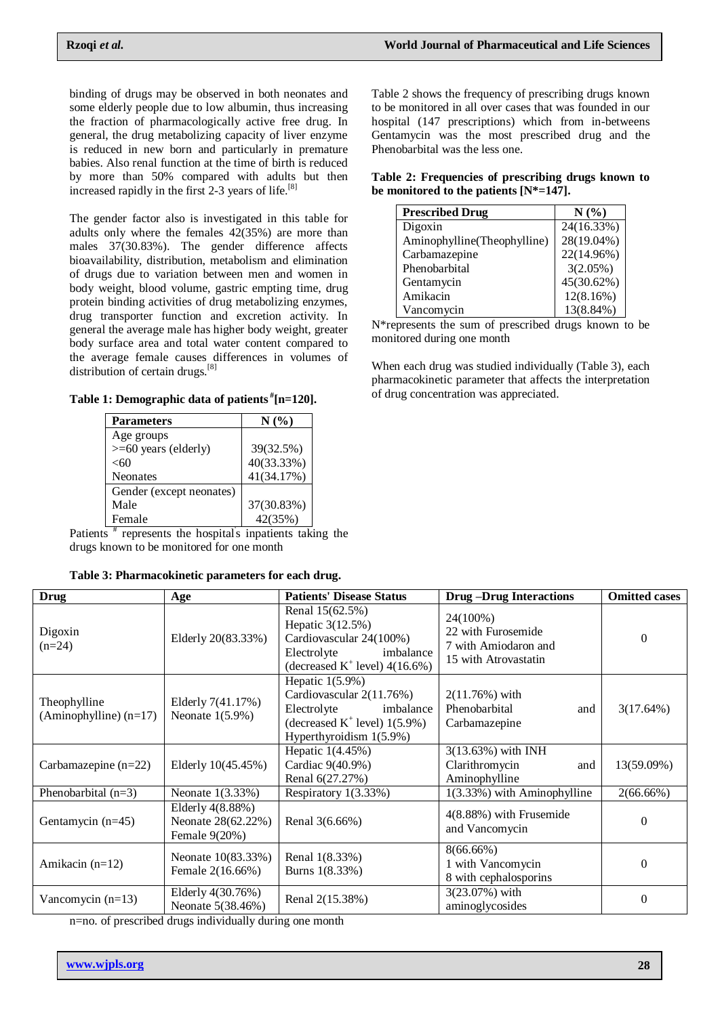binding of drugs may be observed in both neonates and some elderly people due to low albumin, thus increasing the fraction of pharmacologically active free drug. In general, the drug metabolizing capacity of liver enzyme is reduced in new born and particularly in premature babies. Also renal function at the time of birth is reduced by more than 50% compared with adults but then increased rapidly in the first 2-3 years of life.[8]

The gender factor also is investigated in this table for adults only where the females 42(35%) are more than males 37(30.83%). The gender difference affects bioavailability, distribution, metabolism and elimination of drugs due to variation between men and women in body weight, blood volume, gastric empting time, drug protein binding activities of drug metabolizing enzymes, drug transporter function and excretion activity. In general the average male has higher body weight, greater body surface area and total water content compared to the average female causes differences in volumes of distribution of certain drugs.<sup>[8]</sup>

**Table 1: Demographic data of patients # [n=120].**

| <b>Parameters</b>        | $N(\%)$    |
|--------------------------|------------|
| Age groups               |            |
| >=60 years (elderly)     | 39(32.5%)  |
| $<$ 60                   | 40(33.33%) |
| <b>Neonates</b>          | 41(34.17%) |
| Gender (except neonates) |            |
| Male                     | 37(30.83%) |
| Female<br>Ħ              | 42(35%)    |

Patients<sup>#</sup> represents the hospital's inpatients taking the drugs known to be monitored for one month

| Table 3: Pharmacokinetic parameters for each drug. |  |  |  |  |
|----------------------------------------------------|--|--|--|--|
|----------------------------------------------------|--|--|--|--|

Table 2 shows the frequency of prescribing drugs known to be monitored in all over cases that was founded in our hospital (147 prescriptions) which from in-betweens Gentamycin was the most prescribed drug and the Phenobarbital was the less one.

|  | Table 2: Frequencies of prescribing drugs known to |  |  |
|--|----------------------------------------------------|--|--|
|  | be monitored to the patients $[N^*=147]$ .         |  |  |

| <b>Prescribed Drug</b>      | $N(\%)$    |
|-----------------------------|------------|
| Digoxin                     | 24(16.33%) |
| Aminophylline(Theophylline) | 28(19.04%) |
| Carbamazepine               | 22(14.96%) |
| Phenobarbital               | 3(2.05%)   |
| Gentamycin                  | 45(30.62%) |
| Amikacin                    | 12(8.16%)  |
| Vancomycin                  | 13(8.84%)  |

N\*represents the sum of prescribed drugs known to be monitored during one month

When each drug was studied individually (Table 3), each pharmacokinetic parameter that affects the interpretation of drug concentration was appreciated.

| <b>Drug</b>                              | <b>Age</b>                                              | <b>Patients' Disease Status</b>                                                                                                          | <b>Drug-Drug Interactions</b>                                                  | <b>Omitted cases</b> |
|------------------------------------------|---------------------------------------------------------|------------------------------------------------------------------------------------------------------------------------------------------|--------------------------------------------------------------------------------|----------------------|
| Digoxin<br>$(n=24)$                      | Elderly 20(83.33%)                                      | Renal 15(62.5%)<br>Hepatic 3(12.5%)<br>Cardiovascular 24(100%)<br>Electrolyte<br>imbalance<br>(decreased $K^+$ level) 4(16.6%)           | 24(100%)<br>22 with Furosemide<br>7 with Amiodaron and<br>15 with Atrovastatin | $\Omega$             |
| Theophylline<br>$(Aminophylline)$ (n=17) | Elderly 7(41.17%)<br>Neonate $1(5.9\%)$                 | Hepatic $1(5.9\%)$<br>Cardiovascular 2(11.76%)<br>Electrolyte<br>imbalance<br>(decreased $K^+$ level) 1(5.9%)<br>Hyperthyroidism 1(5.9%) | $2(11.76%)$ with<br>Phenobarbital<br>and<br>Carbamazepine                      | 3(17.64%)            |
| Carbamazepine $(n=22)$                   | Elderly 10(45.45%)                                      | Hepatic 1(4.45%)<br>Cardiac 9(40.9%)<br>Renal 6(27.27%)                                                                                  | 3(13.63%) with INH<br>Clarithromycin<br>and<br>Aminophylline                   | 13(59.09%)           |
| Phenobarbital $(n=3)$                    | Neonate 1(3.33%)                                        | Respiratory 1(3.33%)                                                                                                                     | 1(3.33%) with Aminophylline                                                    | $2(66.66\%)$         |
| Gentamycin $(n=45)$                      | Elderly 4(8.88%)<br>Neonate 28(62.22%)<br>Female 9(20%) | Renal 3(6.66%)                                                                                                                           | 4(8.88%) with Frusemide<br>and Vancomycin                                      | $\Omega$             |
| Amikacin $(n=12)$                        | Neonate 10(83.33%)<br>Female 2(16.66%)                  | Renal 1(8.33%)<br>Burns 1(8.33%)                                                                                                         | $8(66.66\%)$<br>1 with Vancomycin<br>8 with cephalosporins                     | $\Omega$             |
| Vancomycin $(n=13)$                      | Elderly 4(30.76%)<br>Neonate 5(38.46%)                  | Renal 2(15.38%)                                                                                                                          | 3(23.07%) with<br>aminoglycosides                                              | $\Omega$             |

n=no. of prescribed drugs individually during one month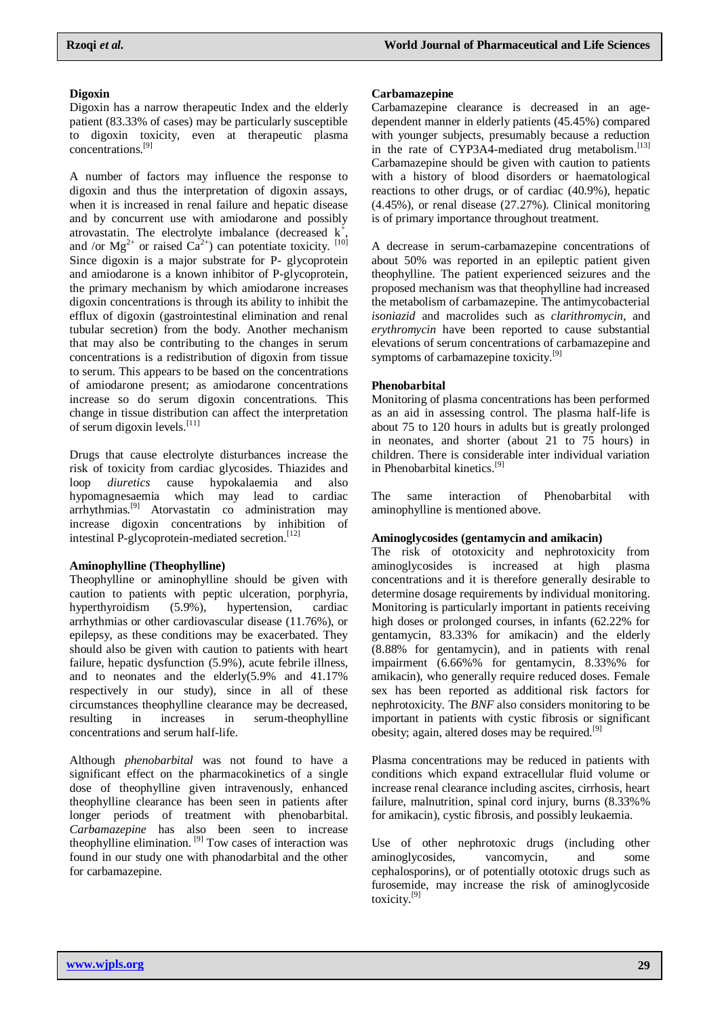# **Digoxin**

Digoxin has a narrow therapeutic Index and the elderly patient (83.33% of cases) may be particularly susceptible to digoxin toxicity, even at therapeutic plasma concentrations.[9]

A number of factors may influence the response to digoxin and thus the interpretation of digoxin assays, when it is increased in renal failure and hepatic disease and by concurrent use with amiodarone and possibly atrovastatin. The electrolyte imbalance (decreased  $k^{\dagger}$ , and /or  $Mg^{2+}$  or raised  $Ca^{2+}$ ) can potentiate toxicity. [10] Since digoxin is a major substrate for P- glycoprotein and amiodarone is a known inhibitor of P-glycoprotein, the primary mechanism by which amiodarone increases digoxin concentrations is through its ability to inhibit the efflux of digoxin (gastrointestinal elimination and renal tubular secretion) from the body. Another mechanism that may also be contributing to the changes in serum concentrations is a redistribution of digoxin from tissue to serum. This appears to be based on the concentrations of amiodarone present; as amiodarone concentrations increase so do serum digoxin concentrations. This change in tissue distribution can affect the interpretation of serum digoxin levels.<sup>[11]</sup>

Drugs that cause electrolyte disturbances increase the risk of toxicity from cardiac glycosides. Thiazides and loop *diuretics* cause hypokalaemia and also hypomagnesaemia which may lead to cardiac arrhythmias.[9] Atorvastatin co administration may increase digoxin concentrations by inhibition of intestinal P-glycoprotein-mediated secretion.<sup>[12]</sup>

# **Aminophylline (Theophylline)**

Theophylline or aminophylline should be given with caution to patients with peptic ulceration, porphyria, hyperthyroidism (5.9%), hypertension, cardiac arrhythmias or other cardiovascular disease (11.76%), or epilepsy, as these conditions may be exacerbated. They should also be given with caution to patients with heart failure, hepatic dysfunction (5.9%), acute febrile illness, and to neonates and the elderly(5.9% and 41.17% respectively in our study), since in all of these circumstances theophylline clearance may be decreased, resulting in increases in serum-theophylline concentrations and serum half-life.

Although *phenobarbital* was not found to have a significant effect on the pharmacokinetics of a single dose of theophylline given intravenously, enhanced theophylline clearance has been seen in patients after longer periods of treatment with phenobarbital. *Carbamazepine* has also been seen to increase theophylline elimination. <sup>[9]</sup> Tow cases of interaction was found in our study one with phanodarbital and the other for carbamazepine.

# **Carbamazepine**

Carbamazepine clearance is decreased in an agedependent manner in elderly patients (45.45%) compared with younger subjects, presumably because a reduction in the rate of CYP3A4-mediated drug metabolism.<sup>[13]</sup> Carbamazepine should be given with caution to patients with a history of blood disorders or haematological reactions to other drugs, or of cardiac (40.9%), hepatic (4.45%), or renal disease (27.27%). Clinical monitoring is of primary importance throughout treatment.

A decrease in serum-carbamazepine concentrations of about 50% was reported in an epileptic patient given theophylline. The patient experienced seizures and the proposed mechanism was that theophylline had increased the metabolism of carbamazepine. The antimycobacterial *isoniazid* and macrolides such as *clarithromycin*, and *erythromycin* have been reported to cause substantial elevations of serum concentrations of carbamazepine and symptoms of carbamazepine toxicity.<sup>[9]</sup>

# **Phenobarbital**

Monitoring of plasma concentrations has been performed as an aid in assessing control. The plasma half-life is about 75 to 120 hours in adults but is greatly prolonged in neonates, and shorter (about 21 to 75 hours) in children. There is considerable inter individual variation in Phenobarbital kinetics.<sup>[9]</sup>

The same interaction of Phenobarbital with aminophylline is mentioned above.

# **Aminoglycosides (gentamycin and amikacin)**

The risk of ototoxicity and nephrotoxicity from aminoglycosides is increased at high plasma concentrations and it is therefore generally desirable to determine dosage requirements by individual monitoring. Monitoring is particularly important in patients receiving high doses or prolonged courses, in infants (62.22% for gentamycin, 83.33% for amikacin) and the elderly (8.88% for gentamycin), and in patients with renal impairment (6.66%% for gentamycin, 8.33%% for amikacin), who generally require reduced doses. Female sex has been reported as additional risk factors for nephrotoxicity. The *BNF* also considers monitoring to be important in patients with cystic fibrosis or significant obesity; again, altered doses may be required.<sup>[9]</sup>

Plasma concentrations may be reduced in patients with conditions which expand extracellular fluid volume or increase renal clearance including ascites, cirrhosis, heart failure, malnutrition, spinal cord injury, burns  $(8.33\%$ % for amikacin), cystic fibrosis, and possibly leukaemia.

Use of other nephrotoxic drugs (including other aminoglycosides, vancomycin, and some cephalosporins), or of potentially ototoxic drugs such as furosemide, may increase the risk of aminoglycoside toxicity.[9]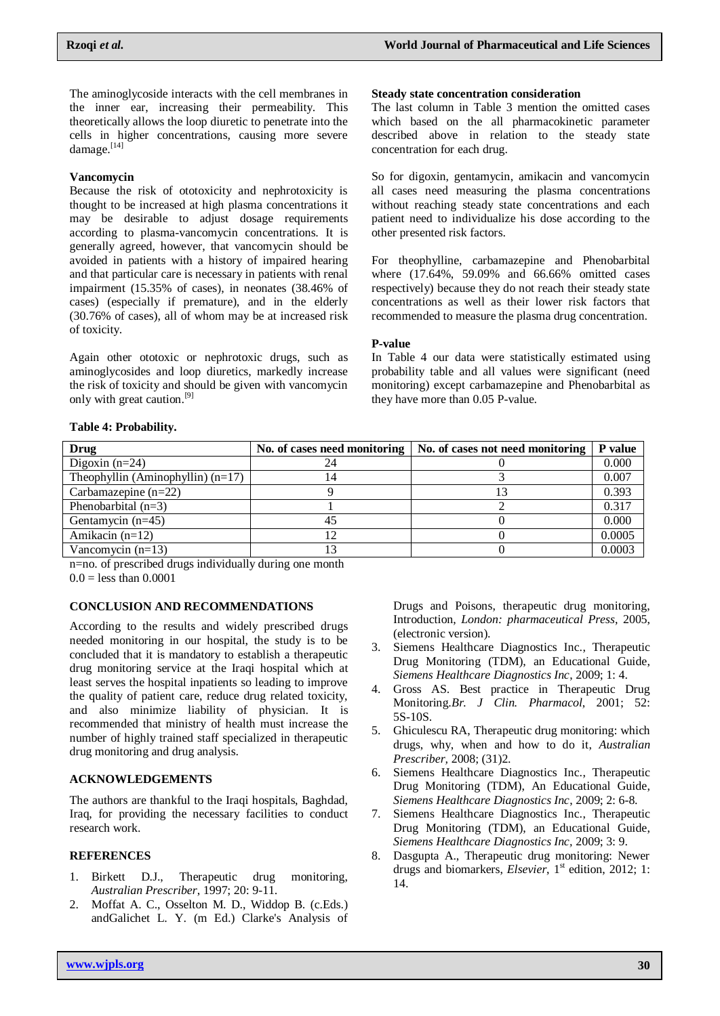The aminoglycoside interacts with the cell membranes in the inner ear, increasing their permeability. This theoretically allows the loop diuretic to penetrate into the cells in higher concentrations, causing more severe damage.<sup>[14]</sup>

### **Vancomycin**

Because the risk of ototoxicity and nephrotoxicity is thought to be increased at high plasma concentrations it may be desirable to adjust dosage requirements according to plasma-vancomycin concentrations. It is generally agreed, however, that vancomycin should be avoided in patients with a history of impaired hearing and that particular care is necessary in patients with renal impairment (15.35% of cases), in neonates (38.46% of cases) (especially if premature), and in the elderly (30.76% of cases), all of whom may be at increased risk of toxicity.

Again other ototoxic or nephrotoxic drugs, such as aminoglycosides and loop diuretics, markedly increase the risk of toxicity and should be given with vancomycin only with great caution.<sup>[9]</sup>

#### **Steady state concentration consideration**

The last column in Table 3 mention the omitted cases which based on the all pharmacokinetic parameter described above in relation to the steady state concentration for each drug.

So for digoxin, gentamycin, amikacin and vancomycin all cases need measuring the plasma concentrations without reaching steady state concentrations and each patient need to individualize his dose according to the other presented risk factors.

For theophylline, carbamazepine and Phenobarbital where (17.64%, 59.09% and 66.66% omitted cases respectively) because they do not reach their steady state concentrations as well as their lower risk factors that recommended to measure the plasma drug concentration.

#### **P-value**

In Table 4 our data were statistically estimated using probability table and all values were significant (need monitoring) except carbamazepine and Phenobarbital as they have more than 0.05 P-value.

#### **Table 4: Probability.**

| Drug                                |    | No. of cases need monitoring   No. of cases not need monitoring | <b>P</b> value |
|-------------------------------------|----|-----------------------------------------------------------------|----------------|
| Digoxin $(n=24)$                    | 24 |                                                                 | 0.000          |
| Theophyllin (Aminophyllin) $(n=17)$ | 14 |                                                                 | 0.007          |
| Carbamazepine $(n=22)$              |    |                                                                 | 0.393          |
| Phenobarbital $(n=3)$               |    |                                                                 | 0.317          |
| Gentamycin $(n=45)$                 | 45 |                                                                 | 0.000          |
| Amikacin $(n=12)$                   | 12 |                                                                 | 0.0005         |
| Vancomycin $(n=13)$                 |    |                                                                 | 0.0003         |

n=no. of prescribed drugs individually during one month  $0.0 =$ less than  $0.0001$ 

### **CONCLUSION AND RECOMMENDATIONS**

According to the results and widely prescribed drugs needed monitoring in our hospital, the study is to be concluded that it is mandatory to establish a therapeutic drug monitoring service at the Iraqi hospital which at least serves the hospital inpatients so leading to improve the quality of patient care, reduce drug related toxicity, and also minimize liability of physician. It is recommended that ministry of health must increase the number of highly trained staff specialized in therapeutic drug monitoring and drug analysis.

## **ACKNOWLEDGEMENTS**

The authors are thankful to the Iraqi hospitals, Baghdad, Iraq, for providing the necessary facilities to conduct research work.

#### **REFERENCES**

- 1. Birkett D.J., Therapeutic drug monitoring, *Australian Prescriber*, 1997; 20: 9-11.
- 2. Moffat A. C., Osselton M. D., Widdop B. (c.Eds.) andGalichet L. Y. (m Ed.) Clarke's Analysis of

Drugs and Poisons, therapeutic drug monitoring, Introduction, *London: pharmaceutical Press*, 2005, (electronic version).

- 3. Siemens Healthcare Diagnostics Inc., Therapeutic Drug Monitoring (TDM), an Educational Guide, *Siemens Healthcare Diagnostics Inc*, 2009; 1: 4.
- 4. Gross AS. Best practice in Therapeutic Drug Monitoring.*Br. J Clin. Pharmacol*, 2001; 52: 5S-10S.
- 5. Ghiculescu RA, Therapeutic drug monitoring: which drugs, why, when and how to do it, *Australian Prescriber,* 2008; (31)2.
- 6. Siemens Healthcare Diagnostics Inc., Therapeutic Drug Monitoring (TDM), An Educational Guide, *Siemens Healthcare Diagnostics Inc*, 2009; 2: 6-8.
- 7. Siemens Healthcare Diagnostics Inc., Therapeutic Drug Monitoring (TDM), an Educational Guide, *Siemens Healthcare Diagnostics Inc,* 2009; 3: 9.
- 8. Dasgupta A., Therapeutic drug monitoring: Newer drugs and biomarkers, *Elsevier*, 1<sup>st</sup> edition, 2012; 1: 14.